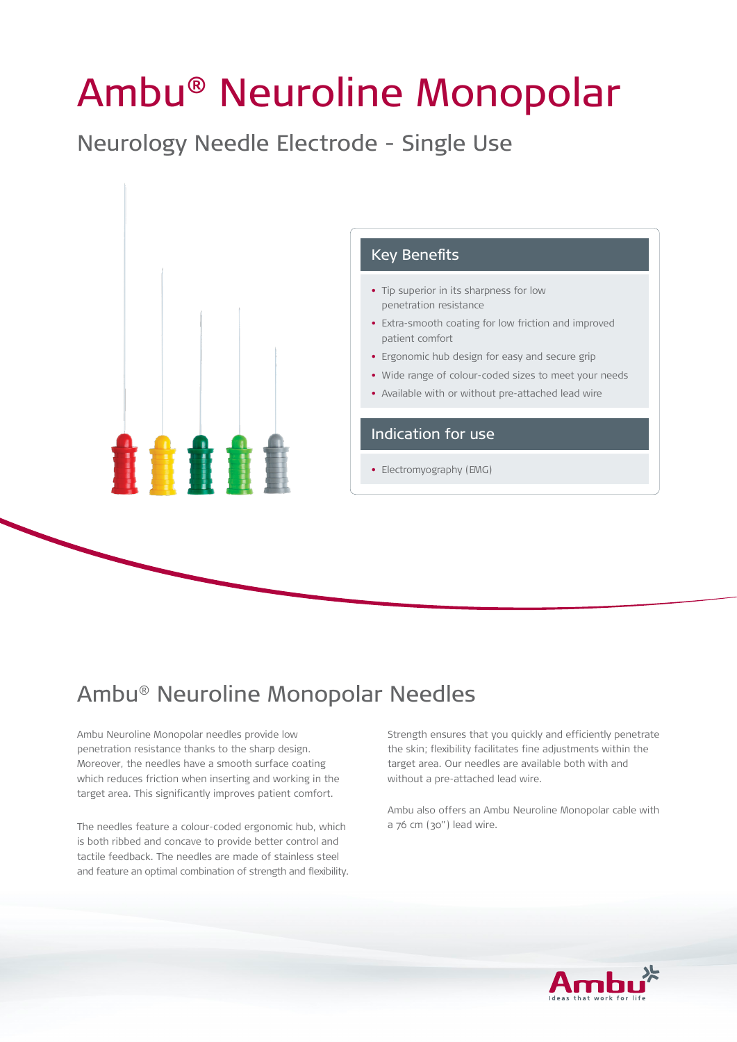# Ambu® Neuroline Monopolar

Neurology Needle Electrode - Single Use



# Ambu® Neuroline Monopolar Needles

Ambu Neuroline Monopolar needles provide low penetration resistance thanks to the sharp design. Moreover, the needles have a smooth surface coating which reduces friction when inserting and working in the target area. This significantly improves patient comfort.

The needles feature a colour-coded ergonomic hub, which is both ribbed and concave to provide better control and tactile feedback. The needles are made of stainless steel and feature an optimal combination of strength and flexibility. Strength ensures that you quickly and efficiently penetrate the skin; flexibility facilitates fine adjustments within the target area. Our needles are available both with and without a pre-attached lead wire.

Ambu also offers an Ambu Neuroline Monopolar cable with a 76 cm (30") lead wire.